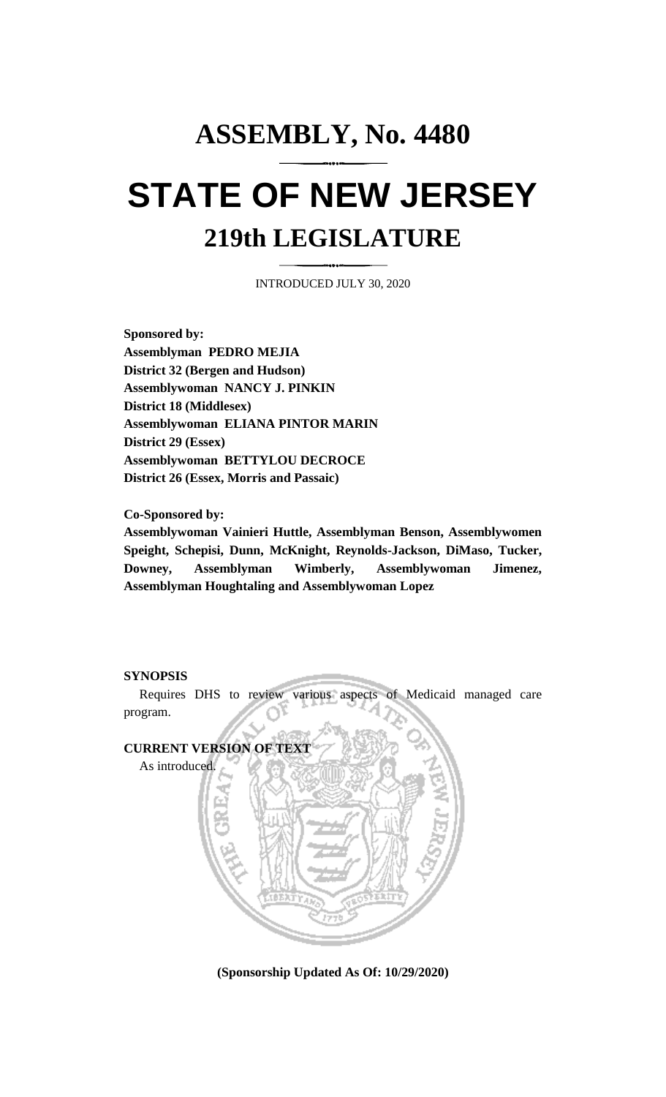## **ASSEMBLY, No. 4480 STATE OF NEW JERSEY 219th LEGISLATURE**

INTRODUCED JULY 30, 2020

**Sponsored by: Assemblyman PEDRO MEJIA District 32 (Bergen and Hudson) Assemblywoman NANCY J. PINKIN District 18 (Middlesex) Assemblywoman ELIANA PINTOR MARIN District 29 (Essex) Assemblywoman BETTYLOU DECROCE District 26 (Essex, Morris and Passaic)**

**Co-Sponsored by:**

**Assemblywoman Vainieri Huttle, Assemblyman Benson, Assemblywomen Speight, Schepisi, Dunn, McKnight, Reynolds-Jackson, DiMaso, Tucker, Downey, Assemblyman Wimberly, Assemblywoman Jimenez, Assemblyman Houghtaling and Assemblywoman Lopez**

## **SYNOPSIS**

Requires DHS to review various aspects of Medicaid managed care program.



**(Sponsorship Updated As Of: 10/29/2020)**